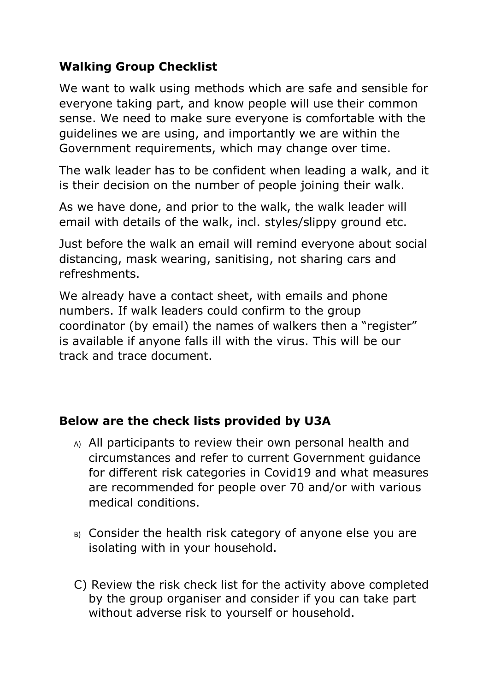## **Walking Group Checklist**

We want to walk using methods which are safe and sensible for everyone taking part, and know people will use their common sense. We need to make sure everyone is comfortable with the guidelines we are using, and importantly we are within the Government requirements, which may change over time.

The walk leader has to be confident when leading a walk, and it is their decision on the number of people joining their walk.

As we have done, and prior to the walk, the walk leader will email with details of the walk, incl. styles/slippy ground etc.

Just before the walk an email will remind everyone about social distancing, mask wearing, sanitising, not sharing cars and refreshments.

We already have a contact sheet, with emails and phone numbers. If walk leaders could confirm to the group coordinator (by email) the names of walkers then a "register" is available if anyone falls ill with the virus. This will be our track and trace document.

## **Below are the check lists provided by U3A**

- A) All participants to review their own personal health and circumstances and refer to current Government guidance for different risk categories in Covid19 and what measures are recommended for people over 70 and/or with various medical conditions.
- B) Consider the health risk category of anyone else you are isolating with in your household.
- C) Review the risk check list for the activity above completed by the group organiser and consider if you can take part without adverse risk to yourself or household.